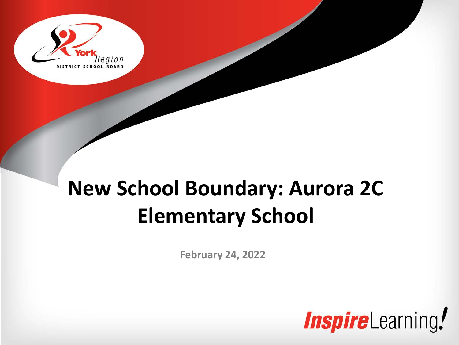

### **New School Boundary: Aurora 2C Elementary School**

**February 24, 2022**

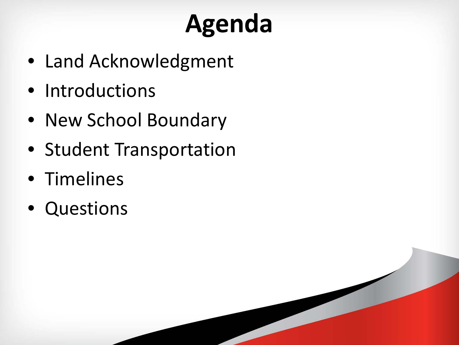# **Agenda**

- Land Acknowledgment
- Introductions
- New School Boundary
- Student Transportation
- Timelines
- Questions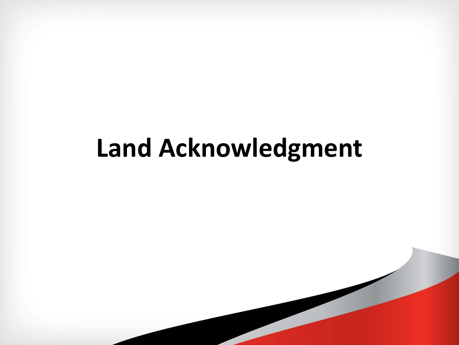## **Land Acknowledgment**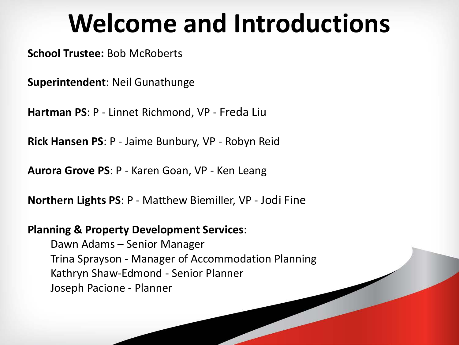### **Welcome and Introductions**

**School Trustee:** Bob McRoberts

**Superintendent**: Neil Gunathunge

**Hartman PS**: P - Linnet Richmond, VP - Freda Liu

**Rick Hansen PS**: P - Jaime Bunbury, VP - Robyn Reid

**Aurora Grove PS**: P - Karen Goan, VP - Ken Leang

**Northern Lights PS**: P - Matthew Biemiller, VP - Jodi Fine

#### **Planning & Property Development Services**:

Dawn Adams – Senior Manager Trina Sprayson - Manager of Accommodation Planning Kathryn Shaw-Edmond - Senior Planner Joseph Pacione - Planner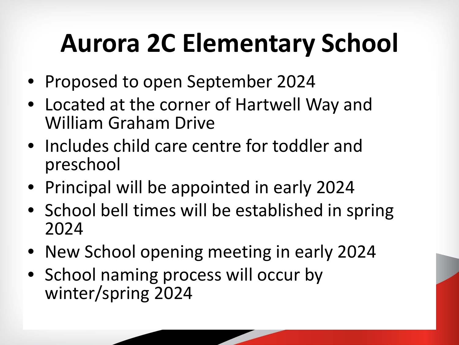# **Aurora 2C Elementary School**

- Proposed to open September 2024
- Located at the corner of Hartwell Way and William Graham Drive
- Includes child care centre for toddler and preschool
- Principal will be appointed in early 2024
- School bell times will be established in spring 2024
- New School opening meeting in early 2024
- School naming process will occur by winter/spring 2024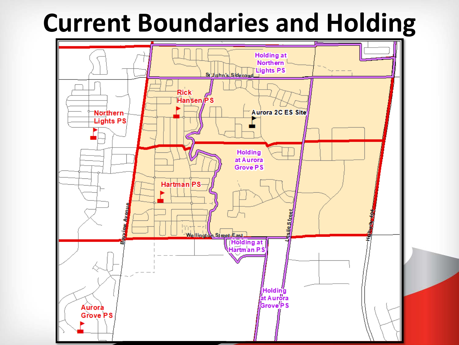### **Current Boundaries and Holding**

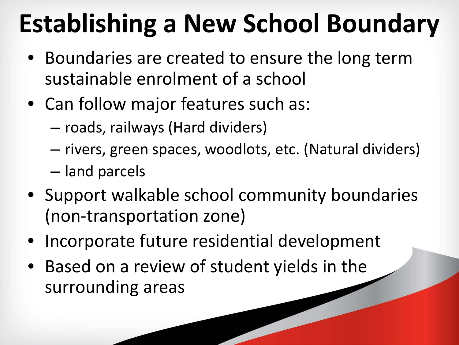# **Establishing a New School Boundary**

- Boundaries are created to ensure the long term sustainable enrolment of a school
- Can follow major features such as:
	- roads, railways (Hard dividers)
	- rivers, green spaces, woodlots, etc. (Natural dividers)
	- land parcels
- Support walkable school community boundaries (non-transportation zone)
- Incorporate future residential development
- Based on a review of student yields in the surrounding areas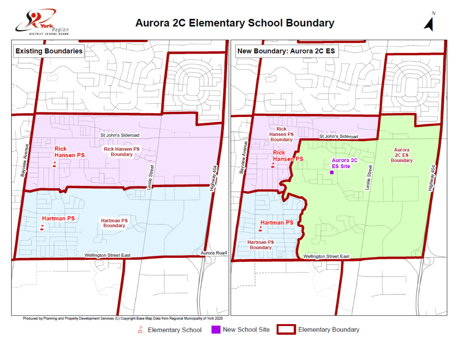

#### **Aurora 2C Elementary School Boundary**



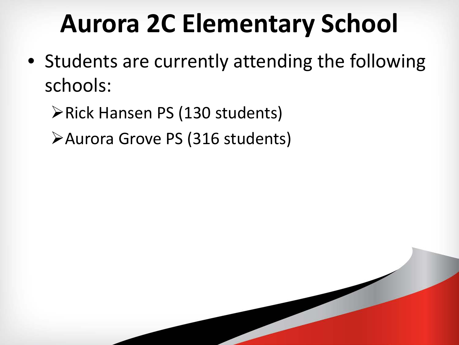## **Aurora 2C Elementary School**

• Students are currently attending the following schools:

**≻Rick Hansen PS (130 students)** 

Aurora Grove PS (316 students)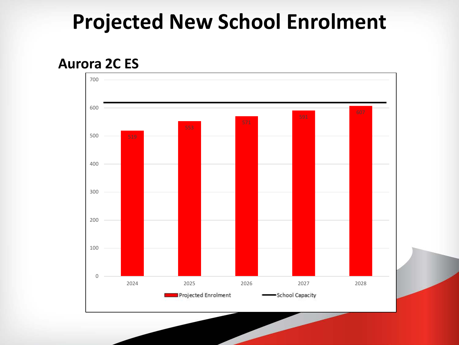### **Projected New School Enrolment**

### **Aurora 2C ES**

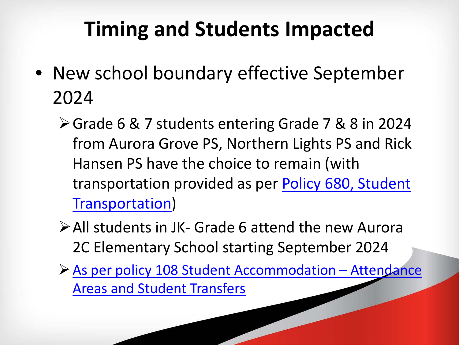### **Timing and Students Impacted**

- New school boundary effective September 2024
	- Grade 6 & 7 students entering Grade 7 & 8 in 2024 from Aurora Grove PS, Northern Lights PS and Rick Hansen PS have the choice to remain (with [transportation provided as per Policy 680, Student](http://www.yrdsb.ca/boarddocs/Documents/PP-transportationtoandfromschools-680.pdf)  Transportation)
	- All students in JK- Grade 6 attend the new Aurora 2C Elementary School starting September 2024
	- [As per policy 108 Student Accommodation –](http://www.yrdsb.ca/boarddocs/Documents/PP-studentaccommodationattendanceareas-108.pdf) Attendance Areas and Student Transfers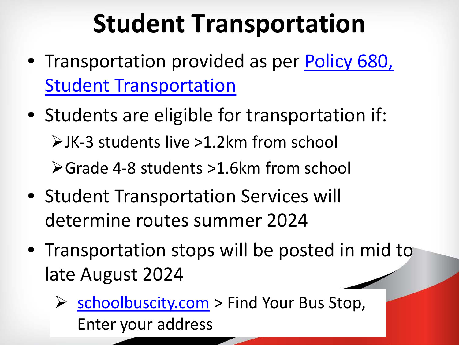## **Student Transportation**

- [Transportation provided as per Policy 680,](http://www.yrdsb.ca/boarddocs/Documents/PP-transportationtoandfromschools-680.pdf) Student Transportation
- Students are eligible for transportation if: JK-3 students live >1.2km from school Grade 4-8 students >1.6km from school
- Student Transportation Services will determine routes summer 2024
- Transportation stops will be posted in mid to late August 2024
	- Schoolbuscity.com > Find Your Bus Stop, Enter your address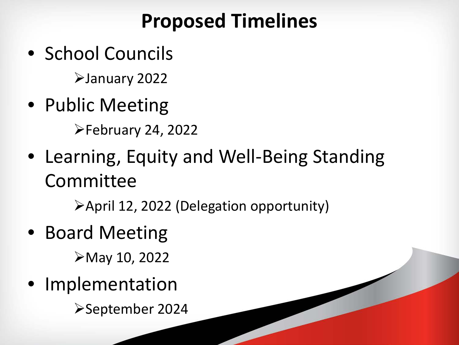### **Proposed Timelines**

• School Councils

January 2022

• Public Meeting

February 24, 2022

• Learning, Equity and Well-Being Standing Committee

April 12, 2022 (Delegation opportunity)

• Board Meeting

May 10, 2022

• Implementation

September 2024